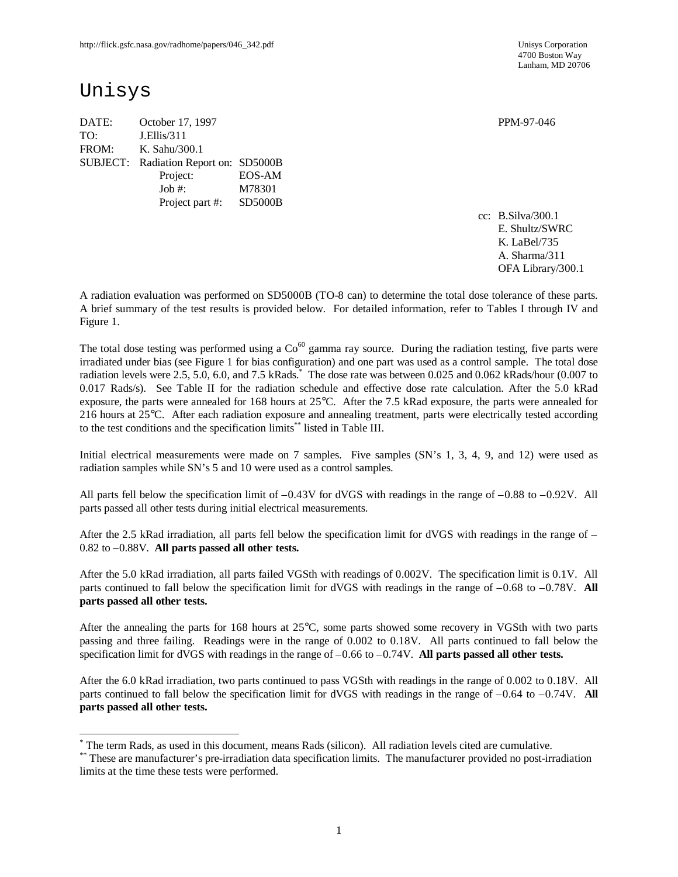4700 Boston Way Lanham, MD 20706

# Unisys

 $\overline{a}$ 

DATE: October 17, 1997 PPM-97-046 TO: J.Ellis/311 FROM: K. Sahu/300.1 SUBJECT: Radiation Report on: SD5000B Project: EOS-AM Job #: M78301 Project part #: SD5000B

cc: B.Silva/300.1 E. Shultz/SWRC K. LaBel/735 A. Sharma/311 OFA Library/300.1

A radiation evaluation was performed on SD5000B (TO-8 can) to determine the total dose tolerance of these parts. A brief summary of the test results is provided below. For detailed information, refer to Tables I through IV and Figure 1.

The total dose testing was performed using a  $Co<sup>60</sup>$  gamma ray source. During the radiation testing, five parts were irradiated under bias (see Figure 1 for bias configuration) and one part was used as a control sample. The total dose radiation levels were 2.5, 5.0, 6.0, and 7.5 kRads.<sup>\*</sup> The dose rate was between 0.025 and 0.062 kRads/hour (0.007 to 0.017 Rads/s). See Table II for the radiation schedule and effective dose rate calculation. After the 5.0 kRad exposure, the parts were annealed for 168 hours at 25°C. After the 7.5 kRad exposure, the parts were annealed for 216 hours at 25°C. After each radiation exposure and annealing treatment, parts were electrically tested according to the test conditions and the specification limits\*\* listed in Table III.

Initial electrical measurements were made on 7 samples. Five samples (SN's 1, 3, 4, 9, and 12) were used as radiation samples while SN's 5 and 10 were used as a control samples.

All parts fell below the specification limit of  $-0.43V$  for dVGS with readings in the range of  $-0.88$  to  $-0.92V$ . All parts passed all other tests during initial electrical measurements.

After the 2.5 kRad irradiation, all parts fell below the specification limit for dVGS with readings in the range of – 0.82 to –0.88V. **All parts passed all other tests.**

After the 5.0 kRad irradiation, all parts failed VGSth with readings of 0.002V. The specification limit is 0.1V. All parts continued to fall below the specification limit for dVGS with readings in the range of –0.68 to –0.78V. **All parts passed all other tests.**

After the annealing the parts for 168 hours at 25°C, some parts showed some recovery in VGSth with two parts passing and three failing. Readings were in the range of 0.002 to 0.18V. All parts continued to fall below the specification limit for dVGS with readings in the range of –0.66 to –0.74V. **All parts passed all other tests.**

After the 6.0 kRad irradiation, two parts continued to pass VGSth with readings in the range of 0.002 to 0.18V. All parts continued to fall below the specification limit for dVGS with readings in the range of –0.64 to –0.74V. **All parts passed all other tests.**

<sup>\*</sup> The term Rads, as used in this document, means Rads (silicon). All radiation levels cited are cumulative.

<sup>\*\*</sup> These are manufacturer's pre-irradiation data specification limits. The manufacturer provided no post-irradiation limits at the time these tests were performed.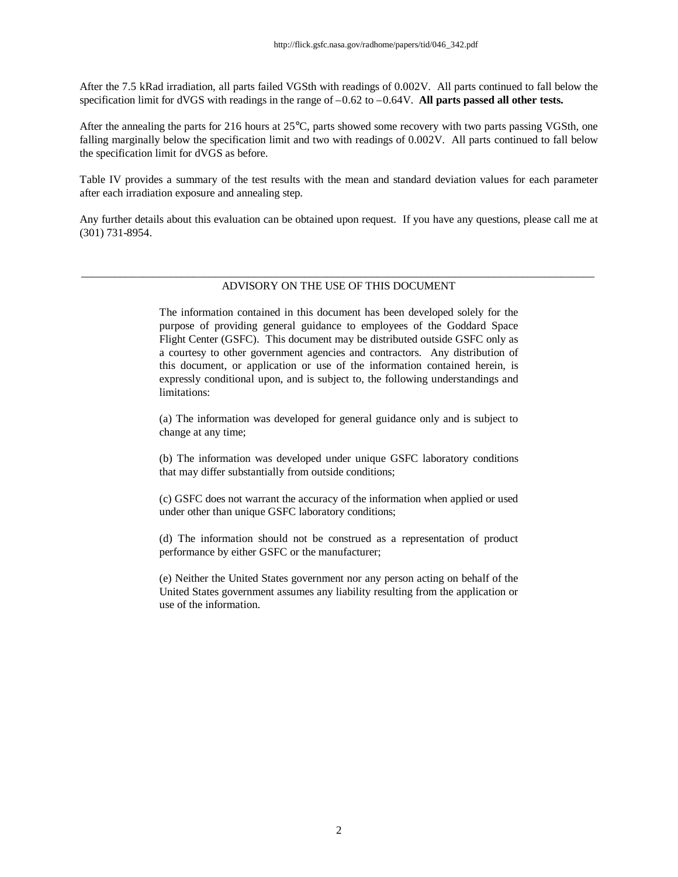After the 7.5 kRad irradiation, all parts failed VGSth with readings of 0.002V. All parts continued to fall below the specification limit for dVGS with readings in the range of –0.62 to –0.64V. **All parts passed all other tests.**

After the annealing the parts for 216 hours at 25°C, parts showed some recovery with two parts passing VGSth, one falling marginally below the specification limit and two with readings of 0.002V. All parts continued to fall below the specification limit for dVGS as before.

Table IV provides a summary of the test results with the mean and standard deviation values for each parameter after each irradiation exposure and annealing step.

Any further details about this evaluation can be obtained upon request. If you have any questions, please call me at (301) 731-8954.

#### \_\_\_\_\_\_\_\_\_\_\_\_\_\_\_\_\_\_\_\_\_\_\_\_\_\_\_\_\_\_\_\_\_\_\_\_\_\_\_\_\_\_\_\_\_\_\_\_\_\_\_\_\_\_\_\_\_\_\_\_\_\_\_\_\_\_\_\_\_\_\_\_\_\_\_\_\_\_\_\_\_\_\_\_\_\_\_\_\_\_\_\_ ADVISORY ON THE USE OF THIS DOCUMENT

The information contained in this document has been developed solely for the purpose of providing general guidance to employees of the Goddard Space Flight Center (GSFC). This document may be distributed outside GSFC only as a courtesy to other government agencies and contractors. Any distribution of this document, or application or use of the information contained herein, is expressly conditional upon, and is subject to, the following understandings and limitations:

(a) The information was developed for general guidance only and is subject to change at any time;

(b) The information was developed under unique GSFC laboratory conditions that may differ substantially from outside conditions;

(c) GSFC does not warrant the accuracy of the information when applied or used under other than unique GSFC laboratory conditions;

(d) The information should not be construed as a representation of product performance by either GSFC or the manufacturer;

(e) Neither the United States government nor any person acting on behalf of the United States government assumes any liability resulting from the application or use of the information.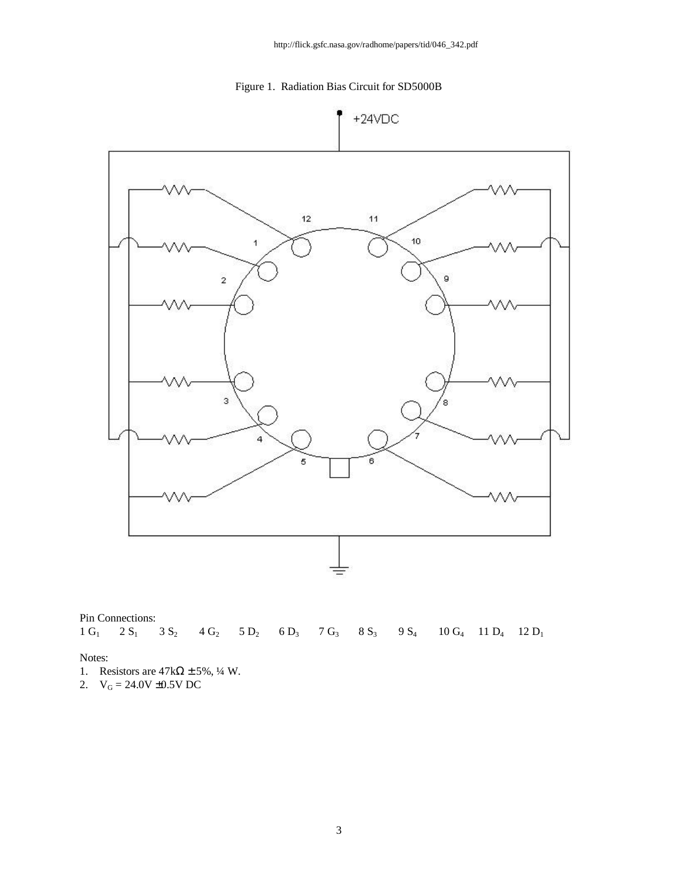



Pin Connections:  $1 \text{ G}_1$   $2 \text{ S}_1$   $3 \text{ S}_2$   $4 \text{ G}_2$   $5 \text{ D}_2$   $6 \text{ D}_3$   $7 \text{ G}_3$   $8 \text{ S}_3$   $9 \text{ S}_4$   $10 \text{ G}_4$   $11 \text{ D}_4$   $12 \text{ D}_1$ 

Notes:

- 1. Resistors are  $47k\Omega \pm 5\%, \frac{1}{4}W$ .
- 2.  $V_G = 24.0V \pm 0.5V DC$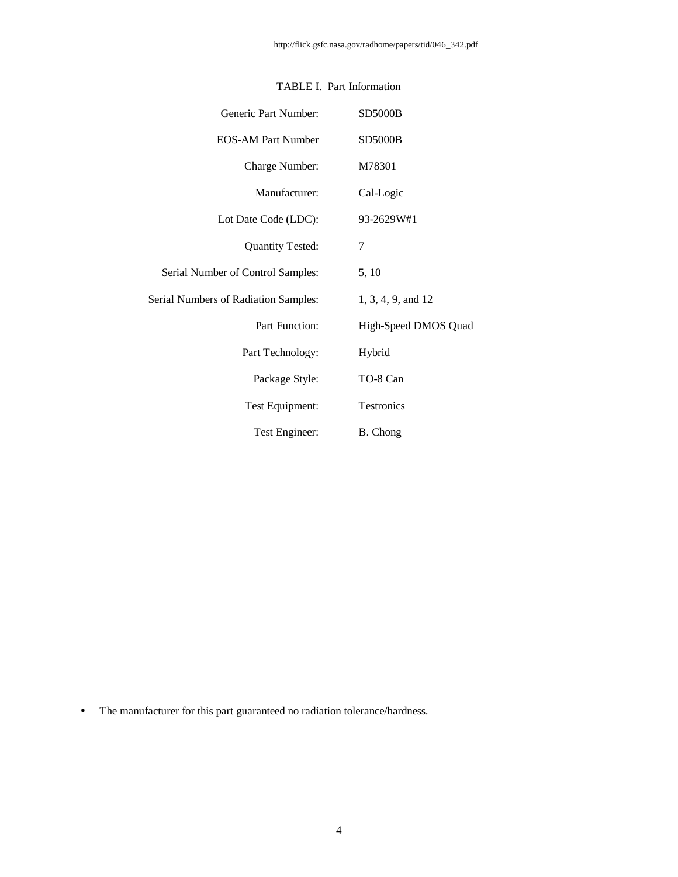| Generic Part Number:                 | <b>SD5000B</b>       |
|--------------------------------------|----------------------|
| <b>EOS-AM Part Number</b>            | <b>SD5000B</b>       |
| Charge Number:                       | M78301               |
| Manufacturer:                        | Cal-Logic            |
| Lot Date Code (LDC):                 | 93-2629W#1           |
| <b>Quantity Tested:</b>              | 7                    |
| Serial Number of Control Samples:    | 5, 10                |
| Serial Numbers of Radiation Samples: | 1, 3, 4, 9, and 12   |
| <b>Part Function:</b>                | High-Speed DMOS Quad |
| Part Technology:                     | Hybrid               |
| Package Style:                       | TO-8 Can             |
| Test Equipment:                      | Testronics           |
| Test Engineer:                       | B. Chong             |

## TABLE I. Part Information

• The manufacturer for this part guaranteed no radiation tolerance/hardness.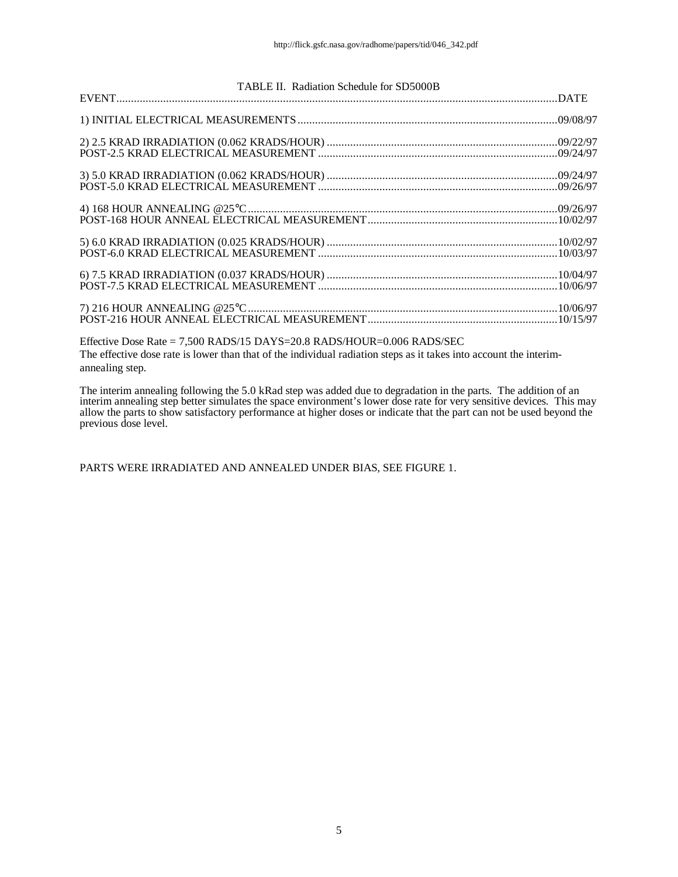| TABLE II. Radiation Schedule for SD5000B |  |
|------------------------------------------|--|
|                                          |  |
|                                          |  |
|                                          |  |
|                                          |  |
|                                          |  |
|                                          |  |
|                                          |  |
|                                          |  |
|                                          |  |

Effective Dose Rate = 7,500 RADS/15 DAYS=20.8 RADS/HOUR=0.006 RADS/SEC The effective dose rate is lower than that of the individual radiation steps as it takes into account the interimannealing step.

The interim annealing following the 5.0 kRad step was added due to degradation in the parts. The addition of an interim annealing step better simulates the space environment's lower dose rate for very sensitive devices. This may allow the parts to show satisfactory performance at higher doses or indicate that the part can not be used beyond the previous dose level.

PARTS WERE IRRADIATED AND ANNEALED UNDER BIAS, SEE FIGURE 1.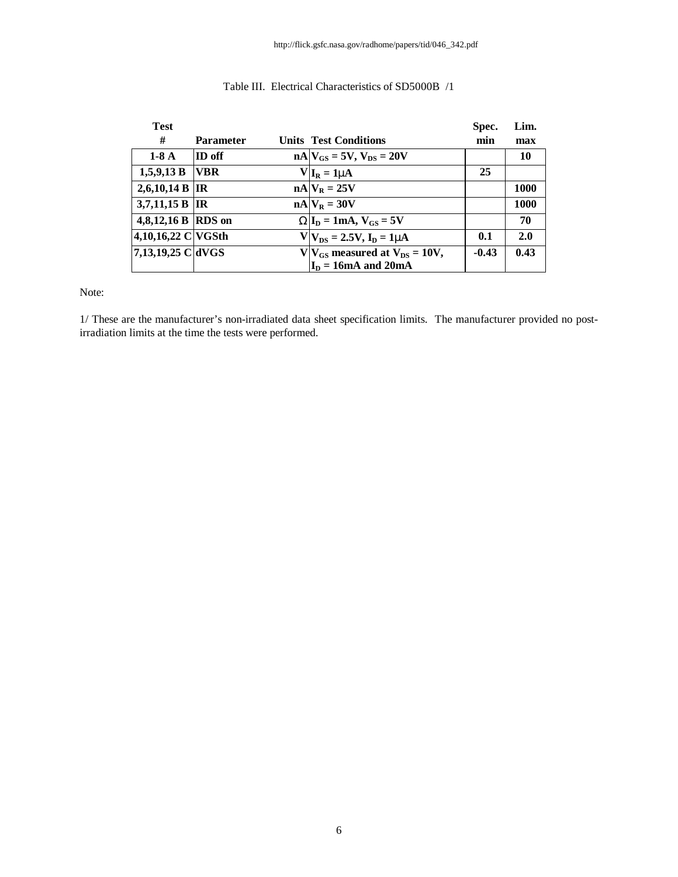| <b>Test</b>        |                  |                                         | Spec.   | Lim. |
|--------------------|------------------|-----------------------------------------|---------|------|
| #                  | <b>Parameter</b> | <b>Units Test Conditions</b>            | min     | max  |
| $1-8A$             | ID off           | $nA$ $V_{GS}$ = 5V, $V_{DS}$ = 20V      |         | 10   |
| 1,5,9,13 B         | <b>VBR</b>       | $V I_R = 1mA$                           | 25      |      |
| 2,6,10,14 B  IR    |                  | $nA V_R = 25V$                          |         | 1000 |
| 3,7,11,15 B IR     |                  | $nA V_R = 30V$                          |         | 1000 |
| 4,8,12,16 B RDS on |                  | $WI_D = 1mA$ , $V_{GS} = 5V$            |         | 70   |
| 4,10,16,22 C VGSth |                  | $V V_{DS} = 2.5V, I_D = 1mA$            | 0.1     | 2.0  |
| 7,13,19,25 C dVGS  |                  | $V V_{GS}$ measured at $V_{DS} = 10V$ , | $-0.43$ | 0.43 |
|                    |                  | $I_D = 16mA$ and 20mA                   |         |      |

## Table III. Electrical Characteristics of SD5000B /1

Note:

1/ These are the manufacturer's non-irradiated data sheet specification limits. The manufacturer provided no postirradiation limits at the time the tests were performed.